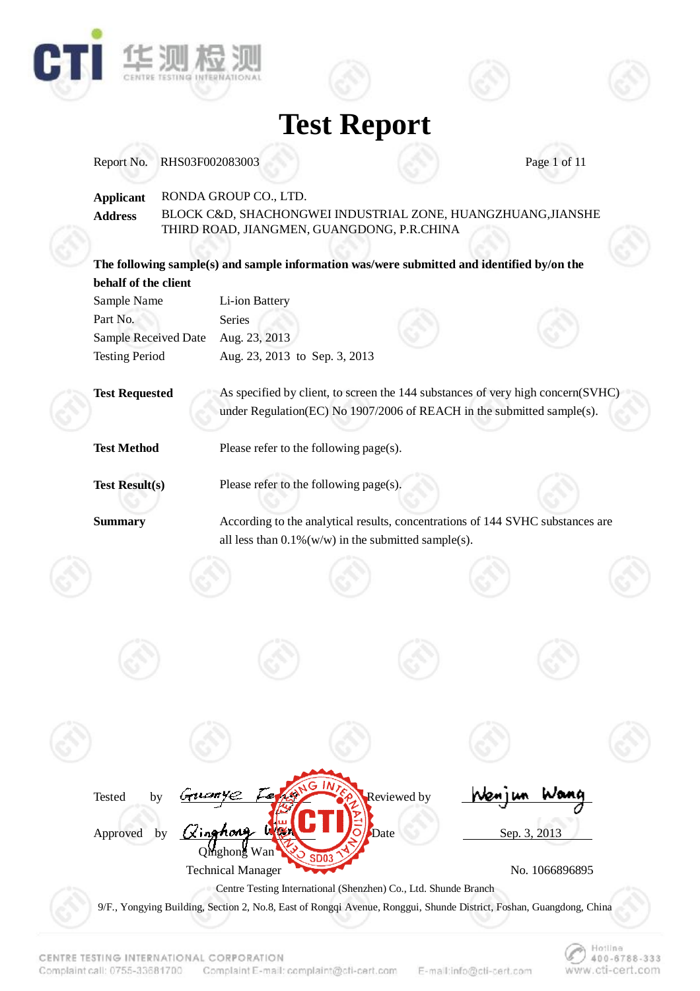

| Report No.            | RHS03F002083003 |                                          |                                        |                                                                                            | Page 1 of 11   |
|-----------------------|-----------------|------------------------------------------|----------------------------------------|--------------------------------------------------------------------------------------------|----------------|
| <b>Applicant</b>      |                 | RONDA GROUP CO., LTD.                    |                                        |                                                                                            |                |
| <b>Address</b>        |                 |                                          |                                        | BLOCK C&D, SHACHONGWEI INDUSTRIAL ZONE, HUANGZHUANG, JIANSHE                               |                |
|                       |                 |                                          |                                        | THIRD ROAD, JIANGMEN, GUANGDONG, P.R.CHINA                                                 |                |
|                       |                 |                                          |                                        |                                                                                            |                |
|                       |                 |                                          |                                        | The following sample(s) and sample information was/were submitted and identified by/on the |                |
| behalf of the client  |                 |                                          |                                        |                                                                                            |                |
| Sample Name           |                 | Li-ion Battery                           |                                        |                                                                                            |                |
| Part No.              |                 | Series                                   |                                        |                                                                                            |                |
| Sample Received Date  |                 | Aug. 23, 2013                            |                                        |                                                                                            |                |
| <b>Testing Period</b> |                 |                                          | Aug. 23, 2013 to Sep. 3, 2013          |                                                                                            |                |
|                       |                 |                                          |                                        |                                                                                            |                |
| <b>Test Requested</b> |                 |                                          |                                        | As specified by client, to screen the 144 substances of very high concern(SVHC)            |                |
|                       |                 |                                          |                                        | under Regulation(EC) No 1907/2006 of REACH in the submitted sample(s).                     |                |
|                       |                 |                                          |                                        |                                                                                            |                |
| <b>Test Method</b>    |                 |                                          | Please refer to the following page(s). |                                                                                            |                |
| <b>Test Result(s)</b> |                 |                                          | Please refer to the following page(s). |                                                                                            |                |
|                       |                 |                                          |                                        |                                                                                            |                |
| <b>Summary</b>        |                 |                                          |                                        | According to the analytical results, concentrations of 144 SVHC substances are             |                |
|                       |                 |                                          |                                        | all less than $0.1\%$ (w/w) in the submitted sample(s).                                    |                |
|                       |                 |                                          |                                        |                                                                                            |                |
|                       |                 |                                          |                                        |                                                                                            |                |
|                       |                 |                                          |                                        |                                                                                            |                |
|                       |                 |                                          |                                        |                                                                                            |                |
|                       |                 |                                          |                                        |                                                                                            |                |
|                       |                 |                                          |                                        |                                                                                            |                |
|                       |                 |                                          |                                        |                                                                                            |                |
|                       |                 |                                          |                                        |                                                                                            |                |
|                       |                 |                                          |                                        |                                                                                            |                |
|                       |                 |                                          |                                        |                                                                                            |                |
|                       |                 |                                          |                                        |                                                                                            |                |
|                       |                 |                                          |                                        |                                                                                            |                |
|                       | bv              |                                          |                                        |                                                                                            |                |
| Tested                |                 |                                          |                                        | Reviewed by                                                                                |                |
|                       |                 |                                          |                                        |                                                                                            |                |
| Approved              | by              |                                          |                                        | Date                                                                                       | Sep. 3, 2013   |
|                       |                 | Qinghong Wan<br><b>Technical Manager</b> |                                        |                                                                                            | No. 1066896895 |

9/F., Yongying Building, Section 2, No.8, East of Rongqi Avenue, Ronggui, Shunde District, Foshan, Guangdong, China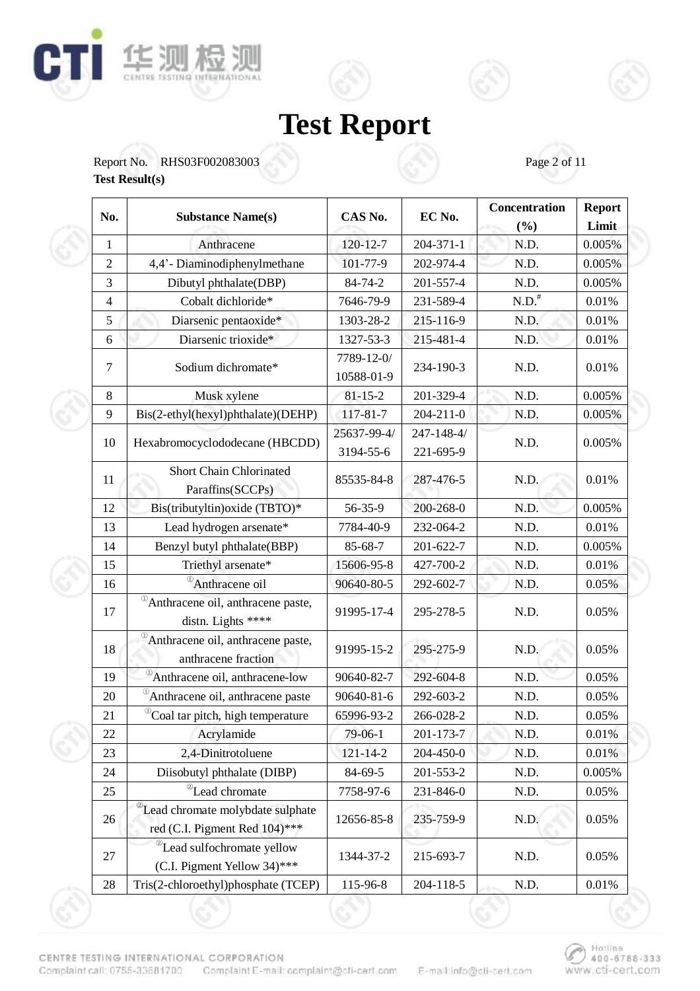





| No.            | <b>Substance Name(s)</b>                                                       | CAS No.                  | EC No.                  | Concentration<br>(%) | <b>Report</b><br>Limit |
|----------------|--------------------------------------------------------------------------------|--------------------------|-------------------------|----------------------|------------------------|
| 1              | Anthracene                                                                     | $120 - 12 - 7$           | $204 - 371 - 1$         | N.D.                 | 0.005%                 |
| $\overline{2}$ | 4,4'- Diaminodiphenylmethane                                                   | 101-77-9                 | 202-974-4               | N.D.                 | 0.005%                 |
| 3              | Dibutyl phthalate(DBP)                                                         | 84-74-2                  | 201-557-4               | N.D.                 | 0.005%                 |
| $\overline{4}$ | Cobalt dichloride*                                                             | 7646-79-9                | 231-589-4               | N.D. <sup>#</sup>    | 0.01%                  |
| 5              | Diarsenic pentaoxide*                                                          | 1303-28-2                | 215-116-9               | N.D.                 | 0.01%                  |
| 6              | Diarsenic trioxide*                                                            | 1327-53-3                | 215-481-4               | N.D.                 | 0.01%                  |
| 7              | Sodium dichromate*                                                             | 7789-12-0/<br>10588-01-9 | 234-190-3               | N.D.                 | 0.01%                  |
| 8              | Musk xylene                                                                    | $81 - 15 - 2$            | 201-329-4               | N.D.                 | 0.005%                 |
| 9              | Bis(2-ethyl(hexyl)phthalate)(DEHP)                                             | 117-81-7                 | $204 - 211 - 0$         | N.D.                 | 0.005%                 |
| 10             | Hexabromocyclododecane (HBCDD)                                                 | 25637-99-4/<br>3194-55-6 | 247-148-4/<br>221-695-9 | N.D.                 | 0.005%                 |
| 11             | <b>Short Chain Chlorinated</b><br>Paraffins(SCCPs)                             | 85535-84-8               | 287-476-5               | N.D.                 | 0.01%                  |
| 12             | Bis(tributyltin) oxide (TBTO)*                                                 | 56-35-9                  | 200-268-0               | N.D.                 | 0.005%                 |
| 13             | Lead hydrogen arsenate*                                                        | 7784-40-9                | 232-064-2               | N.D.                 | 0.01%                  |
| 14             | Benzyl butyl phthalate(BBP)                                                    | 85-68-7                  | 201-622-7               | N.D.                 | 0.005%                 |
| 15             | Triethyl arsenate*                                                             | 15606-95-8               | 427-700-2               | N.D.                 | 0.01%                  |
| 16             | <sup>1</sup> Anthracene oil                                                    | 90640-80-5               | 292-602-7               | N.D.                 | 0.05%                  |
| 17             | <sup>10</sup> Anthracene oil, anthracene paste,<br>distn. Lights ****          | 91995-17-4               | 295-278-5               | N.D.                 | 0.05%                  |
| 18             | <sup>10</sup> Anthracene oil, anthracene paste,<br>anthracene fraction         | 91995-15-2               | 295-275-9               | N.D.                 | 0.05%                  |
| 19             | $\overline{^{\circ}}$ Anthracene oil, anthracene-low                           | 90640-82-7               | 292-604-8               | N.D.                 | 0.05%                  |
| 20             | <sup>1</sup> Anthracene oil, anthracene paste                                  | 90640-81-6               | 292-603-2               | N.D.                 | 0.05%                  |
| 21             | <sup>10</sup> Coal tar pitch, high temperature                                 | 65996-93-2               | 266-028-2               | N.D.                 | 0.05%                  |
| 22             | Acrylamide                                                                     | 79-06-1                  | 201-173-7               | N.D.                 | 0.01%                  |
| 23             | 2,4-Dinitrotoluene                                                             | $121 - 14 - 2$           | 204-450-0               | N.D.                 | 0.01%                  |
| 24             | Diisobutyl phthalate (DIBP)                                                    | 84-69-5                  | 201-553-2               | N.D.                 | 0.005%                 |
| 25             | <sup>2</sup> Lead chromate                                                     | 7758-97-6                | 231-846-0               | N.D.                 | 0.05%                  |
| 26             | <sup>2</sup> Lead chromate molybdate sulphate<br>red (C.I. Pigment Red 104)*** | 12656-85-8               | 235-759-9               | N.D.                 | 0.05%                  |
| 27             | <sup>2</sup> Lead sulfochromate yellow<br>(C.I. Pigment Yellow 34)***          | 1344-37-2                | 215-693-7               | N.D.                 | 0.05%                  |
| 28             | Tris(2-chloroethyl)phosphate (TCEP)                                            | 115-96-8                 | 204-118-5               | N.D.                 | 0.01%                  |

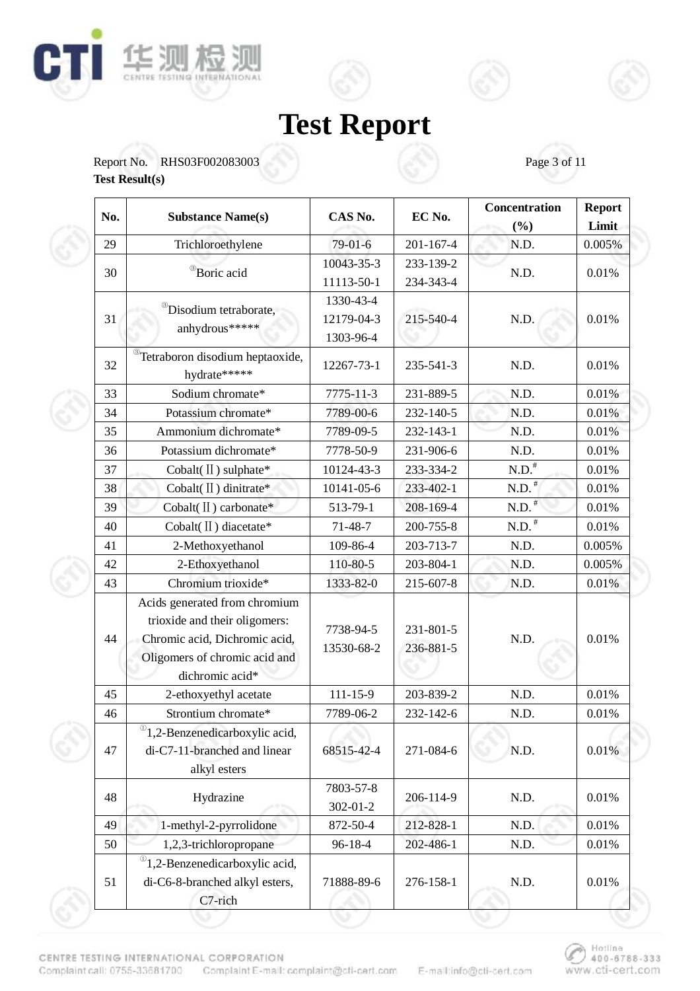



Report No. RHS03F002083003 Page 3 of 11 **Test Result(s)** 

| No. | <b>Substance Name(s)</b>                                                                                                                            | CAS No.                 | EC No.                 | Concentration<br>(%)                                                                                                                                                            | <b>Report</b><br>Limit |
|-----|-----------------------------------------------------------------------------------------------------------------------------------------------------|-------------------------|------------------------|---------------------------------------------------------------------------------------------------------------------------------------------------------------------------------|------------------------|
| 29  | Trichloroethylene                                                                                                                                   | 79-01-6                 | 201-167-4              | N.D.                                                                                                                                                                            | 0.005%                 |
|     |                                                                                                                                                     | 10043-35-3              | 233-139-2              |                                                                                                                                                                                 |                        |
| 30  | <sup>®</sup> Boric acid                                                                                                                             | 11113-50-1              | 234-343-4              |                                                                                                                                                                                 | 0.01%                  |
|     |                                                                                                                                                     | 1330-43-4               |                        |                                                                                                                                                                                 |                        |
| 31  | <sup>®</sup> Disodium tetraborate,                                                                                                                  | 12179-04-3              | 215-540-4              | N.D.                                                                                                                                                                            | 0.01%                  |
|     | anhydrous*****                                                                                                                                      | 1303-96-4               |                        | N.D.<br>N.D.<br>N.D.<br>N.D.<br>N.D.<br>N.D.<br>$\text{N.D.}^\#$<br>N.D. <sup>#</sup><br>N.D. <sup>#</sup><br>N.D. <sup>#</sup><br>N.D.<br>N.D.<br>N.D.<br>N.D.<br>N.D.<br>N.D. |                        |
| 32  | <sup>®</sup> Tetraboron disodium heptaoxide,<br>hydrate*****                                                                                        | 12267-73-1              | 235-541-3              |                                                                                                                                                                                 | 0.01%                  |
| 33  | Sodium chromate*                                                                                                                                    | 7775-11-3               | 231-889-5              |                                                                                                                                                                                 | 0.01%                  |
| 34  | Potassium chromate*                                                                                                                                 | 7789-00-6               | 232-140-5              |                                                                                                                                                                                 | 0.01%                  |
| 35  | Ammonium dichromate*                                                                                                                                | 7789-09-5               | 232-143-1              |                                                                                                                                                                                 | 0.01%                  |
| 36  | Potassium dichromate*                                                                                                                               | 7778-50-9               | 231-906-6              |                                                                                                                                                                                 | 0.01%                  |
| 37  | Cobalt(II) sulphate*                                                                                                                                | 10124-43-3              | 233-334-2              |                                                                                                                                                                                 | 0.01%                  |
| 38  | Cobalt(II) dinitrate*                                                                                                                               | 10141-05-6              | 233-402-1              |                                                                                                                                                                                 | 0.01%                  |
| 39  | Cobalt(II) carbonate*                                                                                                                               | 513-79-1                | 208-169-4              |                                                                                                                                                                                 | 0.01%                  |
| 40  | Cobalt(II) diacetate*                                                                                                                               | $71 - 48 - 7$           | 200-755-8              |                                                                                                                                                                                 | 0.01%                  |
| 41  | 2-Methoxyethanol                                                                                                                                    | 109-86-4                | 203-713-7              |                                                                                                                                                                                 | 0.005%                 |
| 42  | 2-Ethoxyethanol                                                                                                                                     | 110-80-5                | 203-804-1              |                                                                                                                                                                                 | 0.005%                 |
| 43  | Chromium trioxide*                                                                                                                                  | 1333-82-0               | 215-607-8              |                                                                                                                                                                                 | 0.01%                  |
| 44  | Acids generated from chromium<br>trioxide and their oligomers:<br>Chromic acid, Dichromic acid,<br>Oligomers of chromic acid and<br>dichromic acid* | 7738-94-5<br>13530-68-2 | 231-801-5<br>236-881-5 |                                                                                                                                                                                 | 0.01%                  |
| 45  | 2-ethoxyethyl acetate                                                                                                                               | $111 - 15 - 9$          | 203-839-2              |                                                                                                                                                                                 | 0.01%                  |
| 46  | Strontium chromate*                                                                                                                                 | 7789-06-2               | 232-142-6              |                                                                                                                                                                                 | 0.01%                  |
| 47  | $^{\circ}$ 1,2-Benzenedicarboxylic acid,<br>di-C7-11-branched and linear<br>alkyl esters                                                            | 68515-42-4              | 271-084-6              | N.D.                                                                                                                                                                            | 0.01%                  |
| 48  | Hydrazine                                                                                                                                           | 7803-57-8<br>302-01-2   | 206-114-9              | N.D.                                                                                                                                                                            | 0.01%                  |
| 49  | 1-methyl-2-pyrrolidone                                                                                                                              | 872-50-4                | 212-828-1              | N.D.                                                                                                                                                                            | 0.01%                  |
| 50  | 1,2,3-trichloropropane                                                                                                                              | 96-18-4                 | 202-486-1              | N.D.                                                                                                                                                                            | 0.01%                  |
| 51  | $^{\circ}$ 1,2-Benzenedicarboxylic acid,<br>di-C6-8-branched alkyl esters,<br>C7-rich                                                               | 71888-89-6              | 276-158-1              | N.D.                                                                                                                                                                            | 0.01%                  |

CENTRE TESTING INTERNATIONAL CORPORATION Complaint call: 0755-33681700 Complaint E-mail: complaint@cfi-cert.com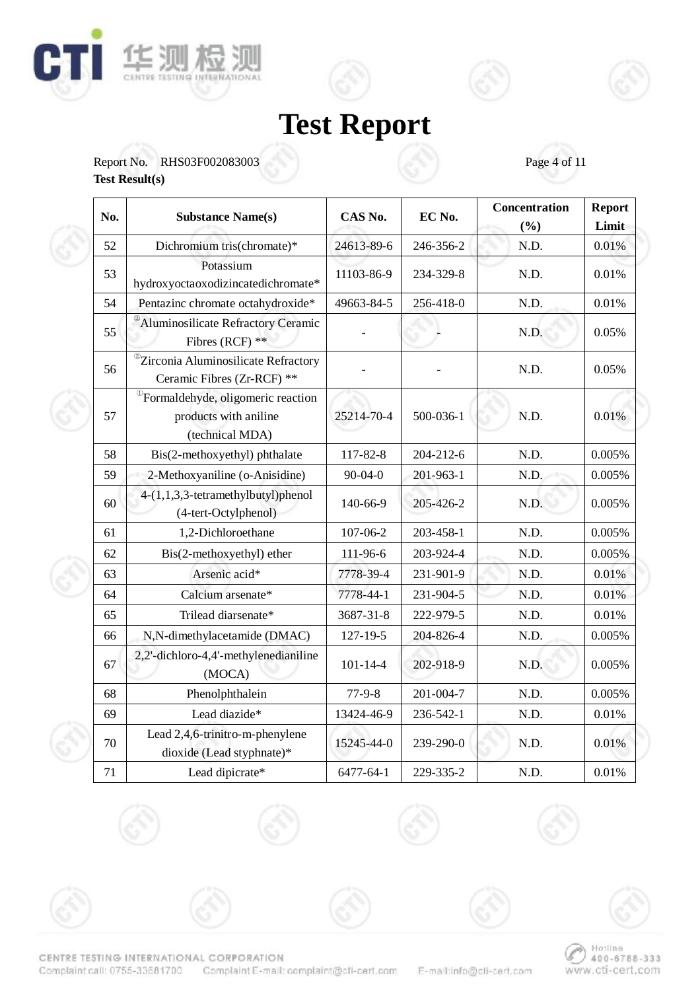





Ē

| No. | <b>Substance Name(s)</b>                                                                   | CAS No.        | EC No.    | Concentration<br>(%) | <b>Report</b><br>Limit |
|-----|--------------------------------------------------------------------------------------------|----------------|-----------|----------------------|------------------------|
| 52  | Dichromium tris(chromate)*                                                                 | 24613-89-6     | 246-356-2 | N.D.                 | 0.01%                  |
| 53  | Potassium<br>hydroxyoctaoxodizincatedichromate*                                            | 11103-86-9     | 234-329-8 | N.D.                 | 0.01%                  |
| 54  | Pentazinc chromate octahydroxide*                                                          | 49663-84-5     | 256-418-0 | N.D.                 | 0.01%                  |
| 55  | <sup>2</sup> Aluminosilicate Refractory Ceramic<br>Fibres (RCF) **                         |                |           | N.D.                 | 0.05%                  |
| 56  | <sup>2</sup> Zirconia Aluminosilicate Refractory<br>Ceramic Fibres (Zr-RCF) **             |                |           | N.D.                 | 0.05%                  |
| 57  | <sup>1</sup> Formaldehyde, oligomeric reaction<br>products with aniline<br>(technical MDA) | 25214-70-4     | 500-036-1 | N.D.                 | 0.01%                  |
| 58  | Bis(2-methoxyethyl) phthalate                                                              | 117-82-8       | 204-212-6 | N.D.                 | 0.005%                 |
| 59  | 2-Methoxyaniline (o-Anisidine)                                                             | $90 - 04 - 0$  | 201-963-1 | N.D.                 | 0.005%                 |
| 60  | 4-(1,1,3,3-tetramethylbutyl)phenol<br>(4-tert-Octylphenol)                                 | 140-66-9       | 205-426-2 | N.D.                 | 0.005%                 |
| 61  | 1,2-Dichloroethane                                                                         | 107-06-2       | 203-458-1 | N.D.                 | 0.005%                 |
| 62  | Bis(2-methoxyethyl) ether                                                                  | 111-96-6       | 203-924-4 | N.D.                 | 0.005%                 |
| 63  | Arsenic acid*                                                                              | 7778-39-4      | 231-901-9 | N.D.                 | 0.01%                  |
| 64  | Calcium arsenate*                                                                          | 7778-44-1      | 231-904-5 | N.D.                 | 0.01%                  |
| 65  | Trilead diarsenate*                                                                        | 3687-31-8      | 222-979-5 | N.D.                 | 0.01%                  |
| 66  | N,N-dimethylacetamide (DMAC)                                                               | $127 - 19 - 5$ | 204-826-4 | N.D.                 | 0.005%                 |
| 67  | 2,2'-dichloro-4,4'-methylenedianiline<br>(MOCA)                                            | $101 - 14 - 4$ | 202-918-9 | N.D.                 | 0.005%                 |
| 68  | Phenolphthalein                                                                            | $77-9-8$       | 201-004-7 | N.D.                 | 0.005%                 |
| 69  | Lead diazide*                                                                              | 13424-46-9     | 236-542-1 | N.D.                 | 0.01%                  |
| 70  | Lead 2,4,6-trinitro-m-phenylene<br>dioxide (Lead styphnate)*                               | 15245-44-0     | 239-290-0 | N.D.                 | 0.01%                  |
| 71  | Lead dipicrate*                                                                            | 6477-64-1      | 229-335-2 | N.D.                 | 0.01%                  |











CENTRE TESTING INTERNATIONAL CORPORATION Complaint call: 0755-33681700 Complaint E-mail: complaint@cfi-cert.com

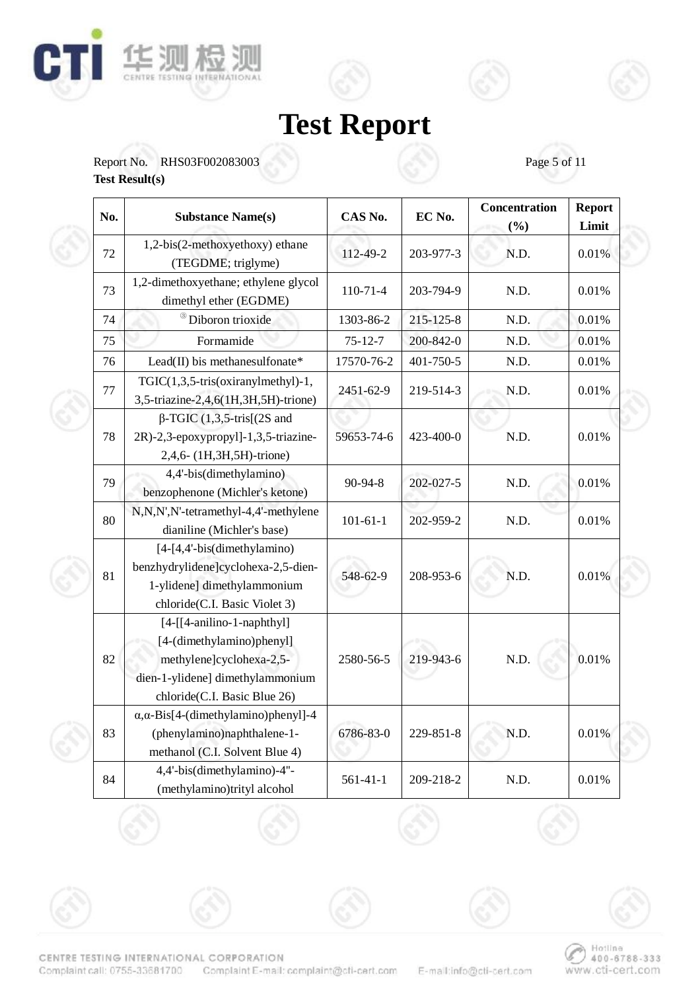





| No. | <b>Substance Name(s)</b>                                                                                                                                    | CAS No.        | EC No.    | Concentration<br>(%) | <b>Report</b><br>Limit |
|-----|-------------------------------------------------------------------------------------------------------------------------------------------------------------|----------------|-----------|----------------------|------------------------|
| 72  | 1,2-bis(2-methoxyethoxy) ethane<br>(TEGDME; triglyme)                                                                                                       | 112-49-2       | 203-977-3 | N.D.                 | 0.01%                  |
| 73  | 1,2-dimethoxyethane; ethylene glycol<br>dimethyl ether (EGDME)                                                                                              | $110-71-4$     | 203-794-9 | N.D.                 | 0.01%                  |
| 74  | Diboron trioxide                                                                                                                                            | 1303-86-2      | 215-125-8 | N.D.                 | 0.01%                  |
| 75  | Formamide                                                                                                                                                   | $75 - 12 - 7$  | 200-842-0 | N.D.                 | 0.01%                  |
| 76  | Lead(II) bis methanesulfonate*                                                                                                                              | 17570-76-2     | 401-750-5 | N.D.                 | 0.01%                  |
| 77  | TGIC(1,3,5-tris(oxiranylmethyl)-1,<br>3,5-triazine-2,4,6(1H,3H,5H)-trione)                                                                                  | 2451-62-9      | 219-514-3 | N.D.                 | 0.01%                  |
| 78  | $\beta$ -TGIC (1,3,5-tris[(2S and<br>2R)-2,3-epoxypropyl]-1,3,5-triazine-<br>2,4,6- (1H,3H,5H)-trione)                                                      | 59653-74-6     | 423-400-0 | N.D.                 | 0.01%                  |
| 79  | 4,4'-bis(dimethylamino)<br>benzophenone (Michler's ketone)                                                                                                  | 90-94-8        | 202-027-5 | N.D.                 | 0.01%                  |
| 80  | N,N,N',N'-tetramethyl-4,4'-methylene<br>dianiline (Michler's base)                                                                                          | $101 - 61 - 1$ | 202-959-2 | N.D.                 | 0.01%                  |
| 81  | [4-[4,4'-bis(dimethylamino)<br>benzhydrylidene]cyclohexa-2,5-dien-<br>1-ylidene] dimethylammonium<br>chloride(C.I. Basic Violet 3)                          | 548-62-9       | 208-953-6 | N.D.                 | 0.01%                  |
| 82  | $[4-[[4-anilino-1-naphthyl]]]$<br>[4-(dimethylamino)phenyl]<br>methylene]cyclohexa-2,5-<br>dien-1-ylidene] dimethylammonium<br>chloride(C.I. Basic Blue 26) | 2580-56-5      | 219-943-6 | N.D.                 | 0.01%                  |
| 83  | $\alpha$ , $\alpha$ -Bis[4-(dimethylamino)phenyl]-4<br>(phenylamino)naphthalene-1-<br>methanol (C.I. Solvent Blue 4)                                        | 6786-83-0      | 229-851-8 | N.D.                 | 0.01%                  |
| 84  | 4,4'-bis(dimethylamino)-4"-<br>(methylamino)trityl alcohol                                                                                                  | $561 - 41 - 1$ | 209-218-2 | N.D.                 | 0.01%                  |

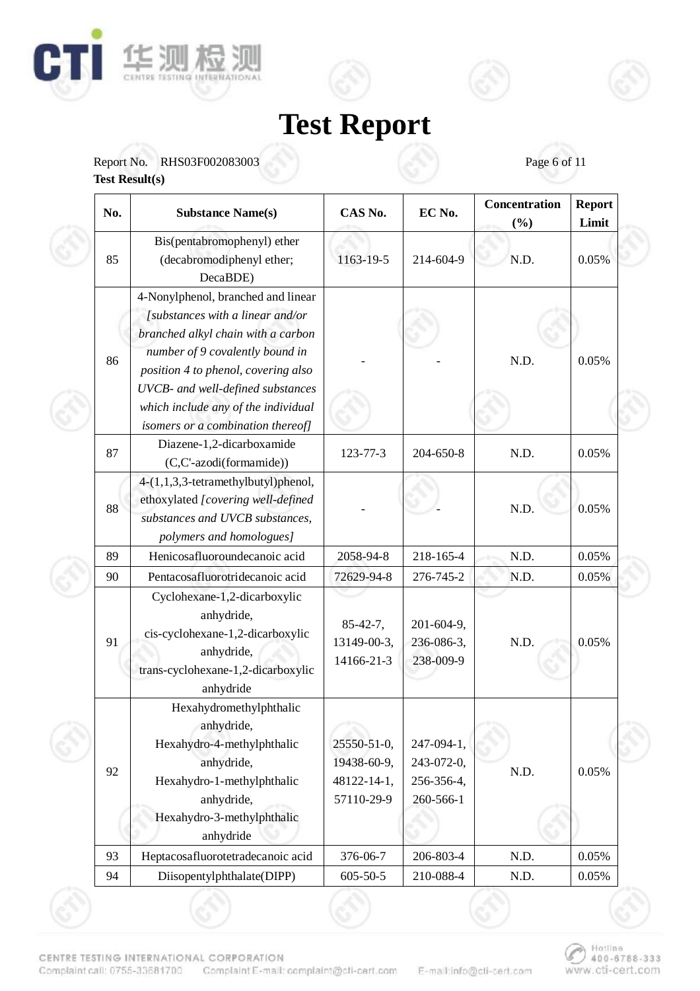



Report No. RHS03F002083003 Page 6 of 11

**Test Result(s)** 

| No. | <b>Substance Name(s)</b>                                                                                                                                                                                                                                                                                | CAS No.                                                 | EC No.                                              | Concentration<br>(%) | <b>Report</b><br>Limit |
|-----|---------------------------------------------------------------------------------------------------------------------------------------------------------------------------------------------------------------------------------------------------------------------------------------------------------|---------------------------------------------------------|-----------------------------------------------------|----------------------|------------------------|
| 85  | Bis(pentabromophenyl) ether<br>(decabromodiphenyl ether;<br>DecaBDE)                                                                                                                                                                                                                                    | 1163-19-5                                               | 214-604-9                                           | N.D.                 | 0.05%                  |
| 86  | 4-Nonylphenol, branched and linear<br>[substances with a linear and/or<br>branched alkyl chain with a carbon<br>number of 9 covalently bound in<br>position 4 to phenol, covering also<br>UVCB- and well-defined substances<br>which include any of the individual<br>isomers or a combination thereof] |                                                         |                                                     | N.D.                 | 0.05%                  |
| 87  | Diazene-1,2-dicarboxamide<br>(C,C'-azodi(formamide))                                                                                                                                                                                                                                                    | 123-77-3                                                | 204-650-8                                           | N.D.                 | 0.05%                  |
| 88  | 4-(1,1,3,3-tetramethylbutyl)phenol,<br>ethoxylated [covering well-defined<br>substances and UVCB substances,<br>polymers and homologues]                                                                                                                                                                |                                                         |                                                     | N.D.                 | 0.05%                  |
| 89  | Henicosafluoroundecanoic acid                                                                                                                                                                                                                                                                           | 2058-94-8                                               | 218-165-4                                           | N.D.                 | 0.05%                  |
| 90  | Pentacosafluorotridecanoic acid                                                                                                                                                                                                                                                                         | 72629-94-8                                              | 276-745-2                                           | N.D.                 | 0.05%                  |
| 91  | Cyclohexane-1,2-dicarboxylic<br>anhydride,<br>cis-cyclohexane-1,2-dicarboxylic<br>anhydride,<br>trans-cyclohexane-1,2-dicarboxylic<br>anhydride                                                                                                                                                         | $85-42-7,$<br>13149-00-3,<br>14166-21-3                 | 201-604-9,<br>236-086-3,<br>238-009-9               | N.D.                 | 0.05%                  |
| 92  | Hexahydromethylphthalic<br>anhydride,<br>Hexahydro-4-methylphthalic<br>anhydride,<br>Hexahydro-1-methylphthalic<br>anhydride,<br>Hexahydro-3-methylphthalic<br>anhydride                                                                                                                                | 25550-51-0,<br>19438-60-9,<br>48122-14-1,<br>57110-29-9 | 247-094-1,<br>243-072-0,<br>256-356-4,<br>260-566-1 | N.D.                 | 0.05%                  |
| 93  | Heptacosafluorotetradecanoic acid                                                                                                                                                                                                                                                                       | 376-06-7                                                | 206-803-4                                           | N.D.                 | 0.05%                  |
| 94  | Diisopentylphthalate(DIPP)                                                                                                                                                                                                                                                                              | $605 - 50 - 5$                                          | 210-088-4                                           | N.D.                 | 0.05%                  |

CENTRE TESTING INTERNATIONAL CORPORATION Complaint call: 0755-33681700 Complaint E-mail: complaint@cfi-cert.com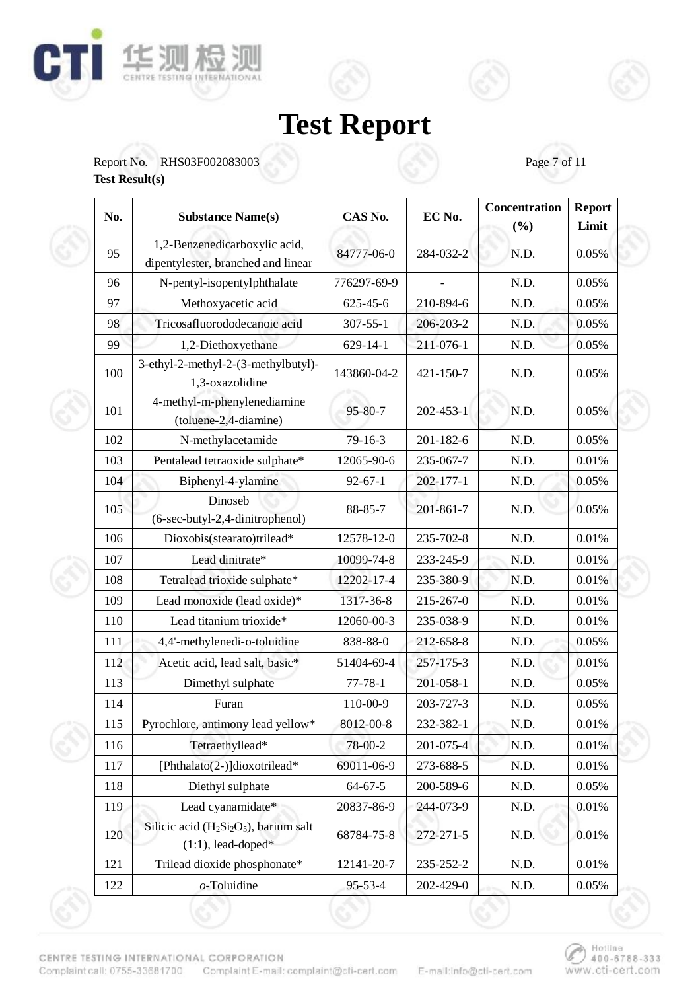





| No.             | <b>Substance Name(s)</b>                                            | CAS No.        | EC No.    | Concentration<br>(%) | <b>Report</b><br>Limit |
|-----------------|---------------------------------------------------------------------|----------------|-----------|----------------------|------------------------|
| 95              | 1,2-Benzenedicarboxylic acid,<br>dipentylester, branched and linear | 84777-06-0     | 284-032-2 | N.D.                 | 0.05%                  |
| 96              | N-pentyl-isopentylphthalate                                         | 776297-69-9    |           | N.D.                 | 0.05%                  |
| 97              | Methoxyacetic acid                                                  | $625 - 45 - 6$ | 210-894-6 | N.D.                 | 0.05%                  |
| 98              | Tricosafluorododecanoic acid                                        | $307 - 55 - 1$ | 206-203-2 | N.D.                 | 0.05%                  |
| 99              | 1,2-Diethoxyethane                                                  | $629 - 14 - 1$ | 211-076-1 | N.D.                 | 0.05%                  |
| 100             | 3-ethyl-2-methyl-2-(3-methylbutyl)-<br>1,3-oxazolidine              | 143860-04-2    | 421-150-7 | N.D.                 | 0.05%                  |
| 101             | 4-methyl-m-phenylenediamine<br>(toluene-2,4-diamine)                | 95-80-7        | 202-453-1 | N.D.                 | 0.05%                  |
| 102             | N-methylacetamide                                                   | $79 - 16 - 3$  | 201-182-6 | N.D.                 | 0.05%                  |
| 103             | Pentalead tetraoxide sulphate*                                      | 12065-90-6     | 235-067-7 | N.D.                 | 0.01%                  |
| 104             | Biphenyl-4-ylamine                                                  | $92 - 67 - 1$  | 202-177-1 | N.D.                 | 0.05%                  |
| 10 <sub>5</sub> | Dinoseb<br>(6-sec-butyl-2,4-dinitrophenol)                          | 88-85-7        | 201-861-7 | N.D.                 | 0.05%                  |
| 106             | Dioxobis(stearato)trilead*                                          | 12578-12-0     | 235-702-8 | N.D.                 | 0.01%                  |
| 107             | Lead dinitrate*                                                     | 10099-74-8     | 233-245-9 | N.D.                 | 0.01%                  |
| 108             | Tetralead trioxide sulphate*                                        | 12202-17-4     | 235-380-9 | N.D.                 | 0.01%                  |
| 109             | Lead monoxide (lead oxide)*                                         | 1317-36-8      | 215-267-0 | N.D.                 | 0.01%                  |
| 110             | Lead titanium trioxide*                                             | 12060-00-3     | 235-038-9 | N.D.                 | $0.01\%$               |
| 111             | 4,4'-methylenedi-o-toluidine                                        | 838-88-0       | 212-658-8 | N.D.                 | 0.05%                  |
| 112             | Acetic acid, lead salt, basic*                                      | 51404-69-4     | 257-175-3 | N.D.                 | 0.01%                  |
| 113             | Dimethyl sulphate                                                   | $77 - 78 - 1$  | 201-058-1 | N.D.                 | 0.05%                  |
| 114             | Furan                                                               | 110-00-9       | 203-727-3 | N.D.                 | 0.05%                  |
| 115             | Pyrochlore, antimony lead yellow*                                   | 8012-00-8      | 232-382-1 | N.D.                 | 0.01%                  |
| 116             | Tetraethyllead*                                                     | 78-00-2        | 201-075-4 | N.D.                 | 0.01%                  |
| 117             | [Phthalato(2-)]dioxotrilead*                                        | 69011-06-9     | 273-688-5 | N.D.                 | 0.01%                  |
| 118             | Diethyl sulphate                                                    | $64 - 67 - 5$  | 200-589-6 | N.D.                 | 0.05%                  |
| 119             | Lead cyanamidate*                                                   | 20837-86-9     | 244-073-9 | N.D.                 | 0.01%                  |
| 120             | Silicic acid $(H_2Si_2O_5)$ , barium salt<br>$(1:1)$ , lead-doped*  | 68784-75-8     | 272-271-5 | N.D.                 | 0.01%                  |
| 121             | Trilead dioxide phosphonate*                                        | 12141-20-7     | 235-252-2 | N.D.                 | 0.01%                  |
| 122             | $o$ -Toluidine                                                      | 95-53-4        | 202-429-0 | N.D.                 | 0.05%                  |

CENTRE TESTING INTERNATIONAL CORPORATION Complaint call: 0755-33681700 Complaint E-mail: complaint@cfi-cert.com

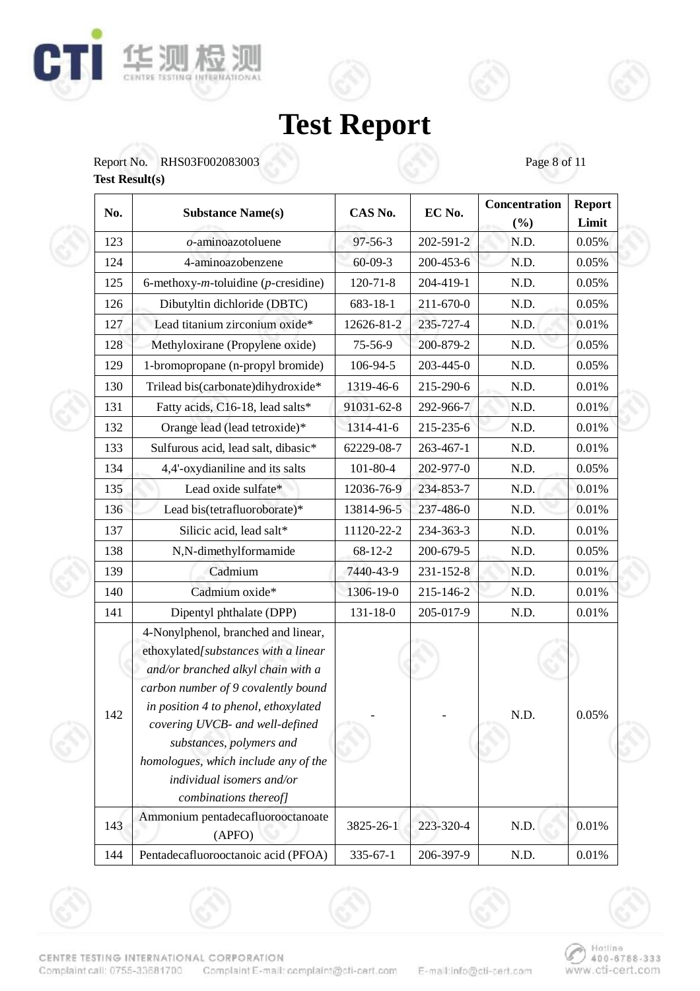





| No. | <b>Substance Name(s)</b>                                                                                                                                                                                                                                                                                                                                      | CAS No.        | EC No.          | Concentration<br>(%) | <b>Report</b><br>Limit |
|-----|---------------------------------------------------------------------------------------------------------------------------------------------------------------------------------------------------------------------------------------------------------------------------------------------------------------------------------------------------------------|----------------|-----------------|----------------------|------------------------|
| 123 | $o$ -aminoazotoluene                                                                                                                                                                                                                                                                                                                                          | $97 - 56 - 3$  | 202-591-2       | N.D.                 | 0.05%                  |
| 124 | 4-aminoazobenzene                                                                                                                                                                                                                                                                                                                                             | $60 - 09 - 3$  | 200-453-6       | N.D.                 | 0.05%                  |
| 125 | 6-methoxy- $m$ -toluidine ( $p$ -cresidine)                                                                                                                                                                                                                                                                                                                   | $120 - 71 - 8$ | 204-419-1       | N.D.                 | 0.05%                  |
| 126 | Dibutyltin dichloride (DBTC)                                                                                                                                                                                                                                                                                                                                  | 683-18-1       | 211-670-0       | N.D.                 | 0.05%                  |
| 127 | Lead titanium zirconium oxide*                                                                                                                                                                                                                                                                                                                                | 12626-81-2     | 235-727-4       | N.D.                 | 0.01%                  |
| 128 | Methyloxirane (Propylene oxide)                                                                                                                                                                                                                                                                                                                               | 75-56-9        | 200-879-2       | N.D.                 | 0.05%                  |
| 129 | 1-bromopropane (n-propyl bromide)                                                                                                                                                                                                                                                                                                                             | 106-94-5       | 203-445-0       | N.D.                 | 0.05%                  |
| 130 | Trilead bis(carbonate)dihydroxide*                                                                                                                                                                                                                                                                                                                            | 1319-46-6      | 215-290-6       | N.D.                 | 0.01%                  |
| 131 | Fatty acids, C16-18, lead salts*                                                                                                                                                                                                                                                                                                                              | 91031-62-8     | 292-966-7       | N.D.                 | 0.01%                  |
| 132 | Orange lead (lead tetroxide)*                                                                                                                                                                                                                                                                                                                                 | 1314-41-6      | 215-235-6       | N.D.                 | 0.01%                  |
| 133 | Sulfurous acid, lead salt, dibasic*                                                                                                                                                                                                                                                                                                                           | 62229-08-7     | 263-467-1       | N.D.                 | 0.01%                  |
| 134 | 4,4'-oxydianiline and its salts                                                                                                                                                                                                                                                                                                                               | $101 - 80 - 4$ | 202-977-0       | N.D.                 | 0.05%                  |
| 135 | Lead oxide sulfate*                                                                                                                                                                                                                                                                                                                                           | 12036-76-9     | 234-853-7       | N.D.                 | 0.01%                  |
| 136 | Lead bis(tetrafluoroborate)*                                                                                                                                                                                                                                                                                                                                  | 13814-96-5     | 237-486-0       | N.D.                 | 0.01%                  |
| 137 | Silicic acid, lead salt*                                                                                                                                                                                                                                                                                                                                      | 11120-22-2     | 234-363-3       | N.D.                 | 0.01%                  |
| 138 | N,N-dimethylformamide                                                                                                                                                                                                                                                                                                                                         | $68 - 12 - 2$  | 200-679-5       | N.D.                 | 0.05%                  |
| 139 | Cadmium                                                                                                                                                                                                                                                                                                                                                       | 7440-43-9      | $231 - 152 - 8$ | N.D.                 | 0.01%                  |
| 140 | Cadmium oxide*                                                                                                                                                                                                                                                                                                                                                | 1306-19-0      | 215-146-2       | N.D.                 | 0.01%                  |
| 141 | Dipentyl phthalate (DPP)                                                                                                                                                                                                                                                                                                                                      | $131 - 18 - 0$ | 205-017-9       | N.D.                 | 0.01%                  |
| 142 | 4-Nonylphenol, branched and linear,<br>ethoxylated[substances with a linear<br>and/or branched alkyl chain with a<br>carbon number of 9 covalently bound<br>in position 4 to phenol, ethoxylated<br>covering UVCB- and well-defined<br>substances, polymers and<br>homologues, which include any of the<br>individual isomers and/or<br>combinations thereof] |                |                 | N.D.                 | 0.05%                  |
| 143 | Ammonium pentadecafluorooctanoate<br>(APFO)                                                                                                                                                                                                                                                                                                                   | 3825-26-1      | 223-320-4       | N.D.                 | 0.01%                  |
| 144 | Pentadecafluorooctanoic acid (PFOA)                                                                                                                                                                                                                                                                                                                           | $335 - 67 - 1$ | 206-397-9       | N.D.                 | 0.01%                  |



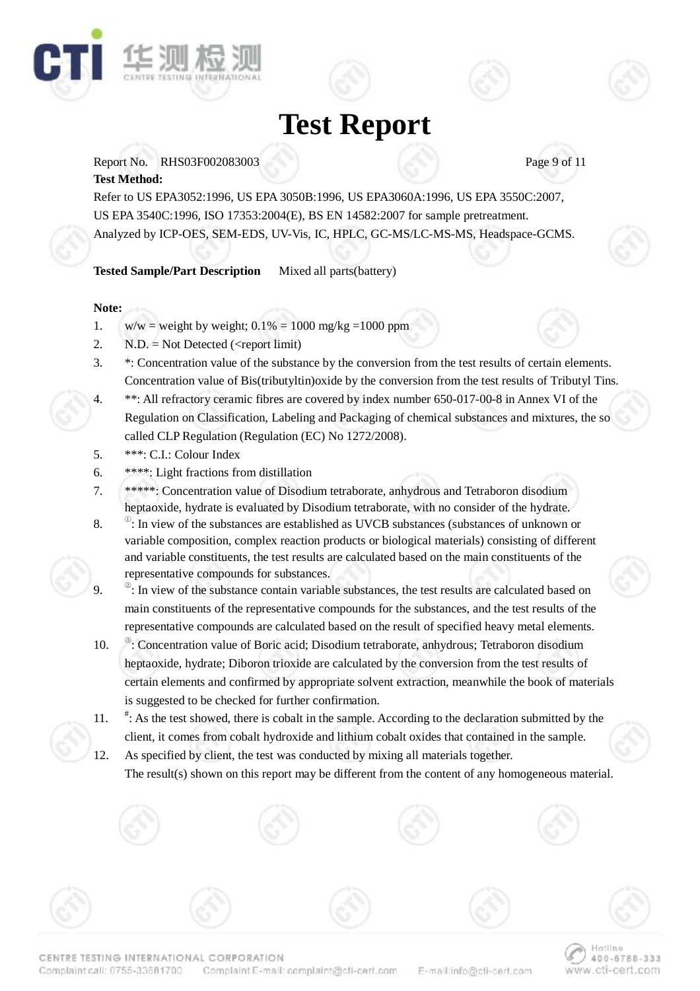

Report No. RHS03F002083003 Page 9 of 11

### **Test Method:**

Refer to US EPA3052:1996, US EPA 3050B:1996, US EPA3060A:1996, US EPA 3550C:2007, US EPA 3540C:1996, ISO 17353:2004(E), BS EN 14582:2007 for sample pretreatment. Analyzed by ICP-OES, SEM-EDS, UV-Vis, IC, HPLC, GC-MS/LC-MS-MS, Headspace-GCMS.

**Tested Sample/Part Description** Mixed all parts(battery)

### **Note:**

- 1. w/w = weight by weight;  $0.1\% = 1000$  mg/kg = 1000 ppm
- 2.  $N.D. = Not detected (*report limit*)$
- 3. \*: Concentration value of the substance by the conversion from the test results of certain elements. Concentration value of Bis(tributyltin)oxide by the conversion from the test results of Tributyl Tins.
- 4. \*\*: All refractory ceramic fibres are covered by index number 650-017-00-8 in Annex VI of the Regulation on Classification, Labeling and Packaging of chemical substances and mixtures, the so called CLP Regulation (Regulation (EC) No 1272/2008).
- 5. \*\*\*: C.I.: Colour Index
- 6. \*\*\*\*: Light fractions from distillation
- 7. \*\*\*\*\*: Concentration value of Disodium tetraborate, anhydrous and Tetraboron disodium heptaoxide, hydrate is evaluated by Disodium tetraborate, with no consider of the hydrate.
- 8. <sup>①</sup>  $\degree$ : In view of the substances are established as UVCB substances (substances of unknown or variable composition, complex reaction products or biological materials) consisting of different and variable constituents, the test results are calculated based on the main constituents of the representative compounds for substances.
- 9.  $\degree$ : In view of the substance contain variable substances, the test results are calculated based on main constituents of the representative compounds for the substances, and the test results of the representative compounds are calculated based on the result of specified heavy metal elements.
- $10.$ <sup>®</sup>: Concentration value of Boric acid; Disodium tetraborate, anhydrous; Tetraboron disodium heptaoxide, hydrate; Diboron trioxide are calculated by the conversion from the test results of certain elements and confirmed by appropriate solvent extraction, meanwhile the book of materials is suggested to be checked for further confirmation.
- $11.$ : As the test showed, there is cobalt in the sample. According to the declaration submitted by the client, it comes from cobalt hydroxide and lithium cobalt oxides that contained in the sample.
- 12. As specified by client, the test was conducted by mixing all materials together. The result(s) shown on this report may be different from the content of any homogeneous material.

E-mail:info@cti-cert.com

Hotline

www.cti-cert.com

400-6788-333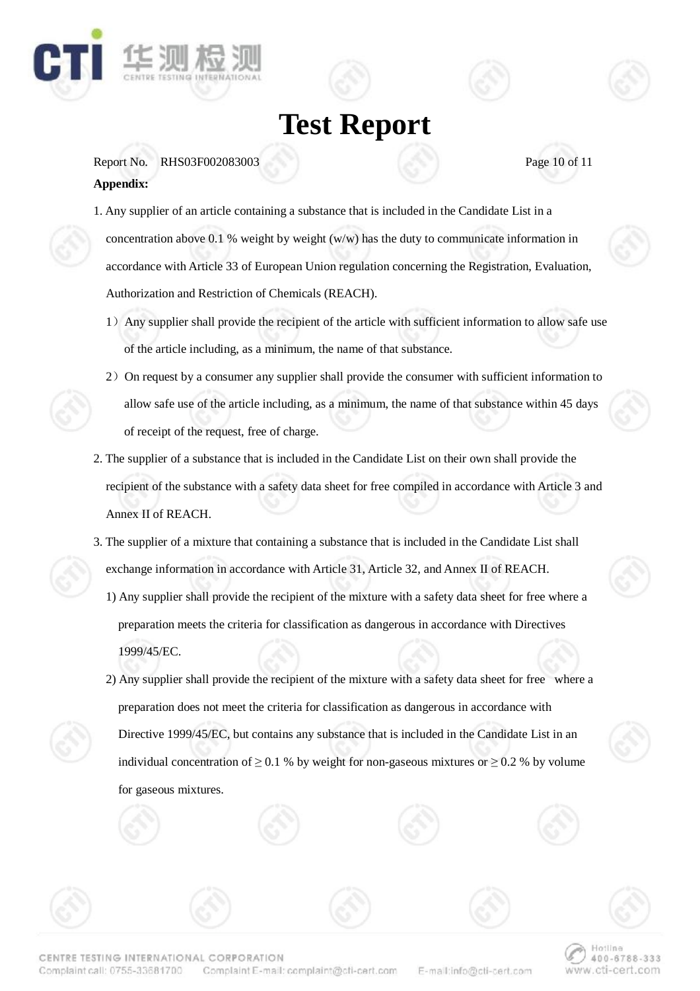

Report No. RHS03F002083003 Page 10 of 11 **Appendix:** 

- 1. Any supplier of an article containing a substance that is included in the Candidate List in a concentration above 0.1 % weight by weight (w/w) has the duty to communicate information in accordance with Article 33 of European Union regulation concerning the Registration, Evaluation, Authorization and Restriction of Chemicals (REACH).
	- 1)Any supplier shall provide the recipient of the article with sufficient information to allow safe use of the article including, as a minimum, the name of that substance.
	- 2) On request by a consumer any supplier shall provide the consumer with sufficient information to allow safe use of the article including, as a minimum, the name of that substance within 45 days of receipt of the request, free of charge.
- 2. The supplier of a substance that is included in the Candidate List on their own shall provide the recipient of the substance with a safety data sheet for free compiled in accordance with Article 3 and Annex II of REACH.
- 3. The supplier of a mixture that containing a substance that is included in the Candidate List shall exchange information in accordance with Article 31, Article 32, and Annex II of REACH. 1) Any supplier shall provide the recipient of the mixture with a safety data sheet for free where a
	- preparation meets the criteria for classification as dangerous in accordance with Directives 1999/45/EC.
	- 2) Any supplier shall provide the recipient of the mixture with a safety data sheet for free where a preparation does not meet the criteria for classification as dangerous in accordance with Directive 1999/45/EC, but contains any substance that is included in the Candidate List in an individual concentration of  $\geq 0.1$  % by weight for non-gaseous mixtures or  $\geq 0.2$  % by volume for gaseous mixtures.